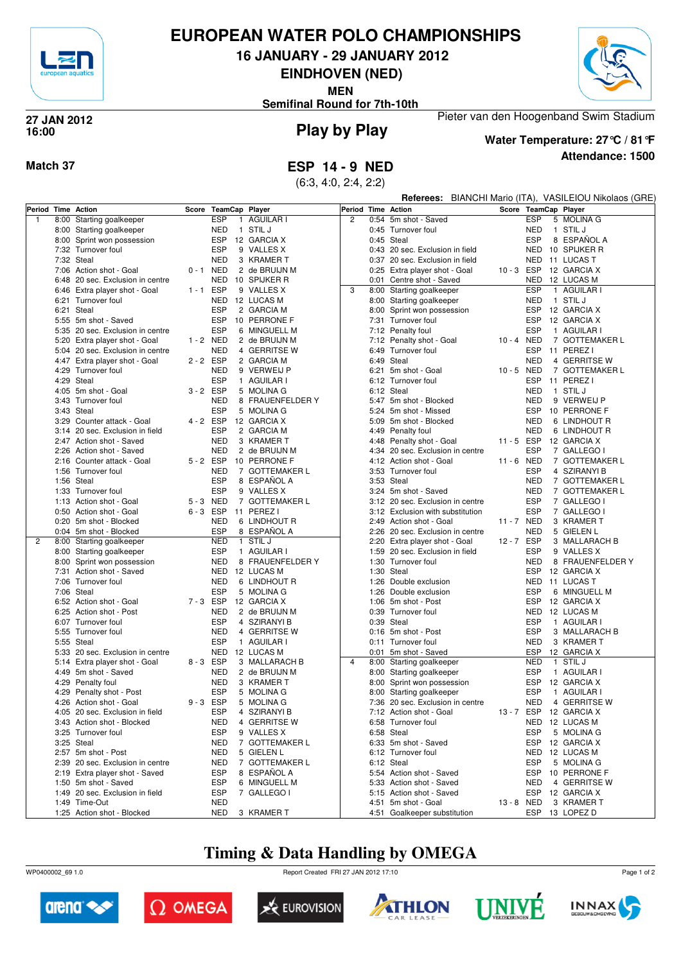

#### **EUROPEAN WATER POLO CHAMPIONSHIPS**

**16 JANUARY - 29 JANUARY 2012**

**EINDHOVEN (NED)**

**MEN**



**Semifinal Round for 7th-10th**

#### **Play by Play 27 JAN 2012 16:00**



**Water Temperature: 27°C / 81°F**

Pieter van den Hoogenband Swim Stadium

**Attendance: 1500**

**Match 37 ESP 14 - 9 NED**

(6:3, 4:0, 2:4, 2:2)

|   |      |                                                   |             |                          |                                    |                    |      |                                  |            |                          | Referees: BIANCHI Mario (ITA), VASILEIOU Nikolaos (GRE) |
|---|------|---------------------------------------------------|-------------|--------------------------|------------------------------------|--------------------|------|----------------------------------|------------|--------------------------|---------------------------------------------------------|
|   |      | Period Time Action                                | Score       | TeamCap Player           |                                    | Period Time Action |      |                                  |            |                          | Score TeamCap Player                                    |
| 1 | 8:00 | Starting goalkeeper                               |             | <b>ESP</b>               | 1 AGUILAR I                        | $\overline{c}$     |      | 0:54 5m shot - Saved             |            | <b>ESP</b>               | 5 MOLINA G                                              |
|   |      | 8:00 Starting goalkeeper                          |             | NED                      | 1 STIL J                           |                    |      | 0:45 Turnover foul               |            | <b>NED</b>               | 1 STIL J                                                |
|   |      | 8:00 Sprint won possession                        |             | <b>ESP</b>               | 12 GARCIA X                        |                    |      | 0:45 Steal                       |            | <b>ESP</b>               | 8 ESPAÑOL A                                             |
|   |      | 7:32 Turnover foul                                |             | <b>ESP</b>               | 9 VALLES X                         |                    |      | 0:43 20 sec. Exclusion in field  |            | <b>NED</b>               | 10 SPIJKER R                                            |
|   |      | 7:32 Steal                                        |             | <b>NED</b>               | 3 KRAMER T                         |                    |      | 0:37 20 sec. Exclusion in field  |            | <b>NED</b>               | 11 LUCAS T                                              |
|   |      | 7:06 Action shot - Goal                           | $0 - 1$ NED |                          | 2 de BRUIJN M                      |                    |      | 0:25 Extra player shot - Goal    | 10-3 ESP   |                          | 12 GARCIA X                                             |
|   |      | 6:48 20 sec. Exclusion in centre                  |             | NED                      | 10 SPIJKER R                       |                    |      | 0:01 Centre shot - Saved         |            | <b>NED</b>               | 12 LUCAS M                                              |
|   |      | 6:46 Extra player shot - Goal                     | $1 - 1$     | ESP                      | 9 VALLES X                         | 3                  |      | 8:00 Starting goalkeeper         |            | <b>ESP</b>               | 1 AGUILAR I                                             |
|   |      | 6:21 Turnover foul                                |             | NED                      | 12 LUCAS M                         |                    |      | 8:00 Starting goalkeeper         |            | NED                      | 1 STIL J                                                |
|   |      | 6:21 Steal                                        |             | <b>ESP</b>               | 2 GARCIA M                         |                    |      | 8:00 Sprint won possession       |            | <b>ESP</b>               | 12 GARCIA X                                             |
|   |      | 5:55 5m shot - Saved                              |             | <b>ESP</b>               | 10 PERRONE F                       |                    |      | 7:31 Turnover foul               |            | <b>ESP</b>               | 12 GARCIA X                                             |
|   |      | 5:35 20 sec. Exclusion in centre                  |             | <b>ESP</b>               | 6 MINGUELL M                       |                    |      | 7:12 Penalty foul                |            | <b>ESP</b>               | 1 AGUILAR I                                             |
|   | 5:20 | Extra player shot - Goal                          | 1 - 2 NED   |                          | 2 de BRUIJN M                      |                    | 7:12 | Penalty shot - Goal              | 10-4 NED   |                          | 7 GOTTEMAKER L                                          |
|   |      | 5:04 20 sec. Exclusion in centre                  |             | <b>NED</b>               | 4 GERRITSE W                       |                    |      | 6:49 Turnover foul               |            | ESP                      | 11 PEREZ I                                              |
|   |      | 4:47 Extra player shot - Goal                     | 2 - 2 ESP   |                          | 2 GARCIA M                         |                    |      | 6:49 Steal                       |            | <b>NED</b>               | 4 GERRITSE W                                            |
|   |      | 4:29 Turnover foul                                |             | <b>NED</b>               | 9 VERWEIJ P                        |                    | 6:21 | 5m shot - Goal                   | 10-5 NED   |                          | 7 GOTTEMAKER L                                          |
|   |      | 4:29 Steal                                        |             | <b>ESP</b>               | 1 AGUILAR I                        |                    |      | 6:12 Turnover foul               |            | <b>ESP</b>               | 11 PEREZ I                                              |
|   |      | 4:05 5m shot - Goal                               | 3-2 ESP     |                          | 5 MOLINA G                         |                    |      | 6:12 Steal                       |            | <b>NED</b>               | 1 STIL J                                                |
|   |      | 3:43 Turnover foul                                |             | <b>NED</b>               | 8 FRAUENFELDER Y                   |                    | 5:47 | 5m shot - Blocked                |            | <b>NED</b>               | 9 VERWEIJ P                                             |
|   |      | 3:43 Steal                                        |             | <b>ESP</b>               | 5 MOLINA G                         |                    |      | 5:24 5m shot - Missed            |            | <b>ESP</b>               | 10 PERRONE F                                            |
|   |      | 3:29 Counter attack - Goal                        | 4 - 2 ESP   |                          | 12 GARCIA X                        |                    |      | 5:09 5m shot - Blocked           |            | <b>NED</b>               | 6 LINDHOUT R                                            |
|   |      | 3:14 20 sec. Exclusion in field                   |             | <b>ESP</b>               | 2 GARCIA M                         |                    |      | 4:49 Penalty foul                |            | <b>NED</b>               | 6 LINDHOUT R                                            |
|   |      | 2:47 Action shot - Saved                          |             | <b>NED</b>               | 3 KRAMER T                         |                    |      | 4:48 Penalty shot - Goal         | 11-5 ESP   |                          | 12 GARCIA X                                             |
|   | 2:26 | Action shot - Saved                               |             | <b>NED</b>               | 2 de BRUIJN M                      |                    |      | 4:34 20 sec. Exclusion in centre |            | <b>ESP</b>               | 7 GALLEGO I                                             |
|   |      | 2:16 Counter attack - Goal                        | 5-2 ESP     |                          | 10 PERRONE F                       |                    |      | 4:12 Action shot - Goal          | 11 - 6 NED |                          | 7 GOTTEMAKER L                                          |
|   |      | 1:56 Turnover foul                                |             | <b>NED</b>               | 7 GOTTEMAKER L                     |                    |      | 3:53 Turnover foul               |            | <b>ESP</b>               | 4 SZIRANYI B                                            |
|   |      | 1:56 Steal                                        |             | <b>ESP</b>               | 8 ESPAÑOL A                        |                    |      | 3:53 Steal                       |            | <b>NED</b>               | 7 GOTTEMAKER L                                          |
|   |      | 1:33 Turnover foul                                |             | <b>ESP</b>               | 9 VALLES X                         |                    |      | 3:24 5m shot - Saved             |            | <b>NED</b>               | 7 GOTTEMAKER L                                          |
|   |      | 1:13 Action shot - Goal                           | 5-3 NED     |                          | 7 GOTTEMAKER L                     |                    |      | 3:12 20 sec. Exclusion in centre |            | <b>ESP</b>               | 7 GALLEGO I                                             |
|   |      | 0:50 Action shot - Goal                           | $6 - 3$     | ESP                      | 11 PEREZ I                         |                    |      | 3:12 Exclusion with substitution |            | <b>ESP</b>               | 7 GALLEGO I                                             |
|   |      | 0:20 5m shot - Blocked                            |             | NED                      | 6 LINDHOUT R                       |                    |      | 2:49 Action shot - Goal          | 11 - 7 NED |                          | 3 KRAMER T                                              |
|   |      | 0:04 5m shot - Blocked                            |             | <b>ESP</b>               | 8 ESPAÑOL A                        |                    |      | 2:26 20 sec. Exclusion in centre |            | <b>NED</b>               | 5 GIELEN L                                              |
| 2 |      | 8:00 Starting goalkeeper                          |             | <b>NED</b><br><b>ESP</b> | 1 STIL J                           |                    |      | 2:20 Extra player shot - Goal    | 12-7 ESP   |                          | 3 MALLARACH B                                           |
|   |      | 8:00 Starting goalkeeper                          |             |                          | 1 AGUILAR I                        |                    |      | 1:59 20 sec. Exclusion in field  |            | <b>ESP</b>               | 9 VALLES X                                              |
|   | 8:00 | Sprint won possession<br>7:31 Action shot - Saved |             | <b>NED</b>               | 8 FRAUENFELDER Y<br>NED 12 LUCAS M |                    |      | 1:30 Turnover foul<br>1:30 Steal |            | <b>NED</b><br><b>ESP</b> | 8 FRAUENFELDER Y<br>12 GARCIA X                         |
|   |      | 7:06 Turnover foul                                |             | <b>NED</b>               | 6 LINDHOUT R                       |                    |      | 1:26 Double exclusion            |            | <b>NED</b>               | 11 LUCAS T                                              |
|   |      | 7:06 Steal                                        |             | <b>ESP</b>               | 5 MOLINA G                         |                    |      | 1:26 Double exclusion            |            | <b>ESP</b>               | 6 MINGUELL M                                            |
|   |      | 6:52 Action shot - Goal                           | 7-3 ESP     |                          | 12 GARCIA X                        |                    | 1:06 | 5m shot - Post                   |            | <b>ESP</b>               | 12 GARCIA X                                             |
|   |      | 6:25 Action shot - Post                           |             | <b>NED</b>               | 2 de BRUIJN M                      |                    |      | 0:39 Turnover foul               |            | <b>NED</b>               | 12 LUCAS M                                              |
|   |      | 6:07 Turnover foul                                |             | <b>ESP</b>               | 4 SZIRANYI B                       |                    |      | 0:39 Steal                       |            | <b>ESP</b>               | 1 AGUILAR I                                             |
|   |      | 5:55 Turnover foul                                |             | <b>NED</b>               | 4 GERRITSE W                       |                    |      | 0:16 5m shot - Post              |            | <b>ESP</b>               | 3 MALLARACH B                                           |
|   |      | 5:55 Steal                                        |             | <b>ESP</b>               | 1 AGUILAR I                        |                    |      | 0:11 Turnover foul               |            | <b>NED</b>               | 3 KRAMER T                                              |
|   |      | 5:33 20 sec. Exclusion in centre                  |             | NED                      | 12 LUCAS M                         |                    |      | 0:01 5m shot - Saved             |            | ESP                      | 12 GARCIA X                                             |
|   |      | 5:14 Extra player shot - Goal                     | 8-3 ESP     |                          | 3 MALLARACH B                      | $\overline{4}$     |      | 8:00 Starting goalkeeper         |            | <b>NED</b>               | 1 STIL J                                                |
|   |      | 4:49 5m shot - Saved                              |             | <b>NED</b>               | 2 de BRUIJN M                      |                    |      | 8:00 Starting goalkeeper         |            | <b>ESP</b>               | 1 AGUILAR I                                             |
|   | 4:29 | Penalty foul                                      |             | <b>NED</b>               | 3 KRAMER T                         |                    |      | 8:00 Sprint won possession       |            | <b>ESP</b>               | 12 GARCIA X                                             |
|   |      | 4:29 Penalty shot - Post                          |             | <b>ESP</b>               | 5 MOLINA G                         |                    |      | 8:00 Starting goalkeeper         |            | <b>ESP</b>               | 1 AGUILAR I                                             |
|   |      | 4:26 Action shot - Goal                           | $9 - 3$     | <b>ESP</b>               | 5 MOLINA G                         |                    |      | 7:36 20 sec. Exclusion in centre |            | <b>NED</b>               | 4 GERRITSE W                                            |
|   |      | 4:05 20 sec. Exclusion in field                   |             | ESP                      | 4 SZIRANYI B                       |                    |      | 7:12 Action shot - Goal          |            |                          | 13 - 7 ESP 12 GARCIA X                                  |
|   |      | 3:43 Action shot - Blocked                        |             | <b>NED</b>               | 4 GERRITSE W                       |                    |      | 6:58 Turnover foul               |            |                          | NED 12 LUCAS M                                          |
|   |      | 3:25 Turnover foul                                |             | ESP                      | 9 VALLES X                         |                    |      | 6:58 Steal                       |            | ESP                      | 5 MOLINA G                                              |
|   |      | 3:25 Steal                                        |             | NED                      | 7 GOTTEMAKER L                     |                    |      | 6:33 5m shot - Saved             |            |                          | ESP 12 GARCIA X                                         |
|   |      | 2:57 5m shot - Post                               |             | <b>NED</b>               | 5 GIELEN L                         |                    |      | 6:12 Turnover foul               |            | NED                      | 12 LUCAS M                                              |
|   |      | 2:39 20 sec. Exclusion in centre                  |             | <b>NED</b>               | 7 GOTTEMAKER L                     |                    |      | 6:12 Steal                       |            | ESP                      | 5 MOLINA G                                              |
|   |      | 2:19 Extra player shot - Saved                    |             | <b>ESP</b>               | 8 ESPAÑOL A                        |                    |      | 5:54 Action shot - Saved         |            | ESP                      | 10 PERRONE F                                            |
|   |      | 1:50 5m shot - Saved                              |             | ESP                      | 6 MINGUELL M                       |                    |      | 5:33 Action shot - Saved         |            | NED                      | 4 GERRITSE W                                            |
|   |      | 1:49 20 sec. Exclusion in field                   |             | ESP                      | 7 GALLEGO I                        |                    |      | 5:15 Action shot - Saved         |            | ESP                      | 12 GARCIA X                                             |
|   |      | 1:49 Time-Out                                     |             | <b>NED</b>               |                                    |                    |      | 4:51 5m shot - Goal              | 13 - 8 NED |                          | 3 KRAMER T                                              |
|   |      | 1:25 Action shot - Blocked                        |             | NED                      | 3 KRAMER T                         |                    |      | 4:51 Goalkeeper substitution     |            |                          | ESP 13 LOPEZ D                                          |

## **Timing & Data Handling by OMEGA**

WP0400002\_69 1.0 Report Created FRI 27 JAN 2012 17:10













Page 1 of 2